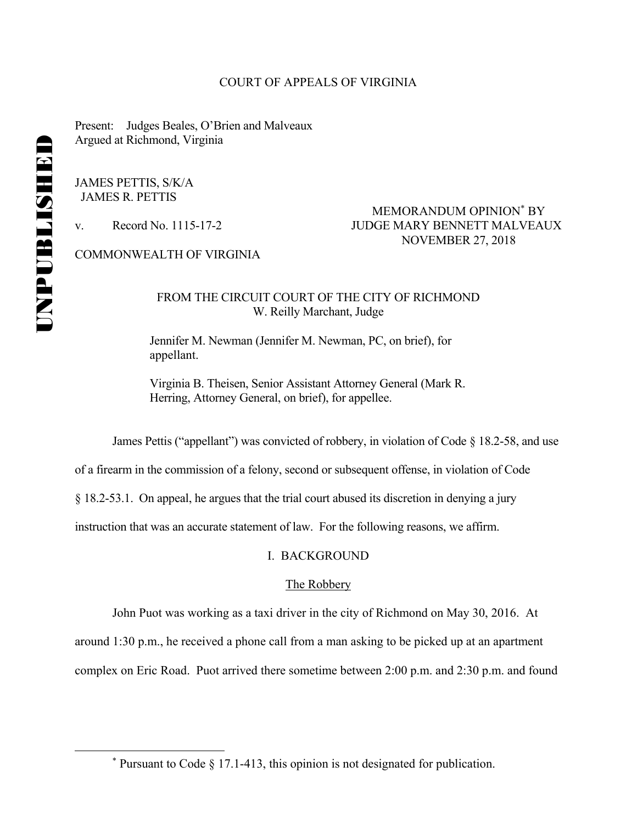#### COURT OF APPEALS OF VIRGINIA

Present: Judges Beales, O'Brien and Malveaux Argued at Richmond, Virginia

JAMES PETTIS, S/K/A JAMES R. PETTIS

# MEMORANDUM OPINION<sup>\*</sup> BY v. Record No. 1115-17-2 JUDGE MARY BENNETT MALVEAUX NOVEMBER 27, 2018

COMMONWEALTH OF VIRGINIA

## FROM THE CIRCUIT COURT OF THE CITY OF RICHMOND W. Reilly Marchant, Judge

 Jennifer M. Newman (Jennifer M. Newman, PC, on brief), for appellant.

 Virginia B. Theisen, Senior Assistant Attorney General (Mark R. Herring, Attorney General, on brief), for appellee.

James Pettis ("appellant") was convicted of robbery, in violation of Code  $\S$  18.2-58, and use

of a firearm in the commission of a felony, second or subsequent offense, in violation of Code

§ 18.2-53.1. On appeal, he argues that the trial court abused its discretion in denying a jury

instruction that was an accurate statement of law. For the following reasons, we affirm.

## I. BACKGROUND

### The Robbery

John Puot was working as a taxi driver in the city of Richmond on May 30, 2016. At

around 1:30 p.m., he received a phone call from a man asking to be picked up at an apartment

complex on Eric Road. Puot arrived there sometime between 2:00 p.m. and 2:30 p.m. and found

 \*  $*$  Pursuant to Code § 17.1-413, this opinion is not designated for publication.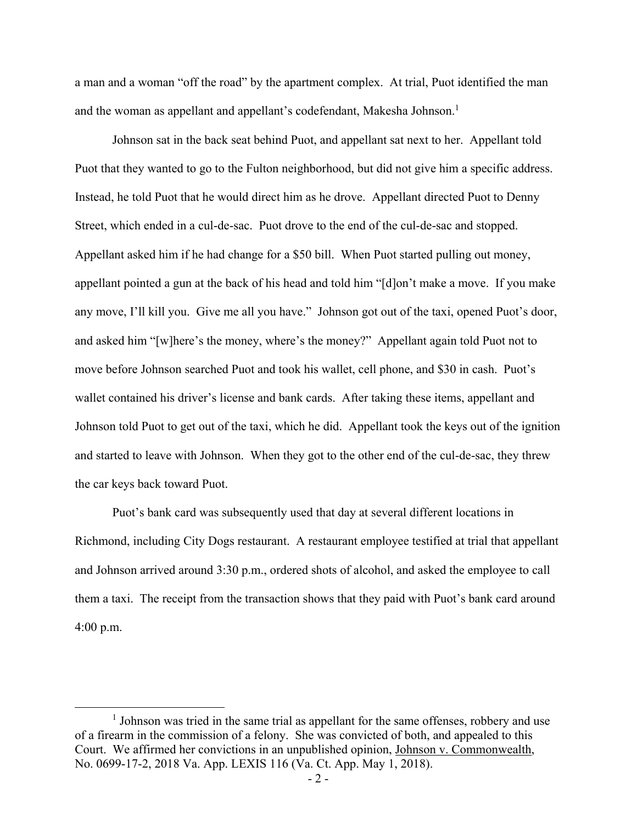a man and a woman "off the road" by the apartment complex. At trial, Puot identified the man and the woman as appellant and appellant's codefendant, Makesha Johnson.<sup>1</sup>

Johnson sat in the back seat behind Puot, and appellant sat next to her. Appellant told Puot that they wanted to go to the Fulton neighborhood, but did not give him a specific address. Instead, he told Puot that he would direct him as he drove. Appellant directed Puot to Denny Street, which ended in a cul-de-sac. Puot drove to the end of the cul-de-sac and stopped. Appellant asked him if he had change for a \$50 bill. When Puot started pulling out money, appellant pointed a gun at the back of his head and told him "[d]on't make a move. If you make any move, I'll kill you. Give me all you have." Johnson got out of the taxi, opened Puot's door, and asked him "[w]here's the money, where's the money?" Appellant again told Puot not to move before Johnson searched Puot and took his wallet, cell phone, and \$30 in cash. Puot's wallet contained his driver's license and bank cards. After taking these items, appellant and Johnson told Puot to get out of the taxi, which he did. Appellant took the keys out of the ignition and started to leave with Johnson. When they got to the other end of the cul-de-sac, they threw the car keys back toward Puot.

Puot's bank card was subsequently used that day at several different locations in Richmond, including City Dogs restaurant. A restaurant employee testified at trial that appellant and Johnson arrived around 3:30 p.m., ordered shots of alcohol, and asked the employee to call them a taxi. The receipt from the transaction shows that they paid with Puot's bank card around 4:00 p.m.

 $\overline{\phantom{a}1}$  $<sup>1</sup>$  Johnson was tried in the same trial as appellant for the same offenses, robbery and use</sup> of a firearm in the commission of a felony. She was convicted of both, and appealed to this Court. We affirmed her convictions in an unpublished opinion, Johnson v. Commonwealth, No. 0699-17-2, 2018 Va. App. LEXIS 116 (Va. Ct. App. May 1, 2018).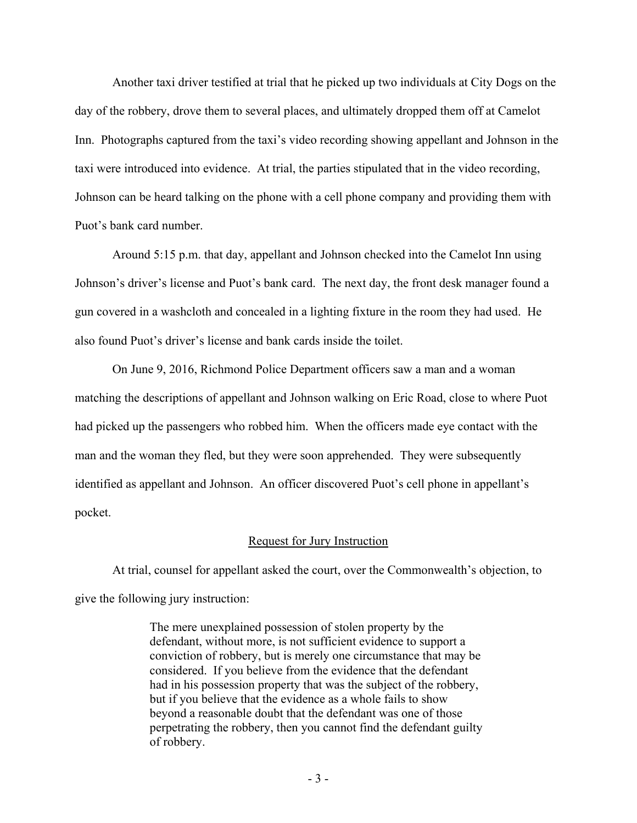Another taxi driver testified at trial that he picked up two individuals at City Dogs on the day of the robbery, drove them to several places, and ultimately dropped them off at Camelot Inn. Photographs captured from the taxi's video recording showing appellant and Johnson in the taxi were introduced into evidence. At trial, the parties stipulated that in the video recording, Johnson can be heard talking on the phone with a cell phone company and providing them with Puot's bank card number.

Around 5:15 p.m. that day, appellant and Johnson checked into the Camelot Inn using Johnson's driver's license and Puot's bank card. The next day, the front desk manager found a gun covered in a washcloth and concealed in a lighting fixture in the room they had used. He also found Puot's driver's license and bank cards inside the toilet.

On June 9, 2016, Richmond Police Department officers saw a man and a woman matching the descriptions of appellant and Johnson walking on Eric Road, close to where Puot had picked up the passengers who robbed him. When the officers made eye contact with the man and the woman they fled, but they were soon apprehended. They were subsequently identified as appellant and Johnson. An officer discovered Puot's cell phone in appellant's pocket.

### Request for Jury Instruction

At trial, counsel for appellant asked the court, over the Commonwealth's objection, to give the following jury instruction:

> The mere unexplained possession of stolen property by the defendant, without more, is not sufficient evidence to support a conviction of robbery, but is merely one circumstance that may be considered. If you believe from the evidence that the defendant had in his possession property that was the subject of the robbery, but if you believe that the evidence as a whole fails to show beyond a reasonable doubt that the defendant was one of those perpetrating the robbery, then you cannot find the defendant guilty of robbery.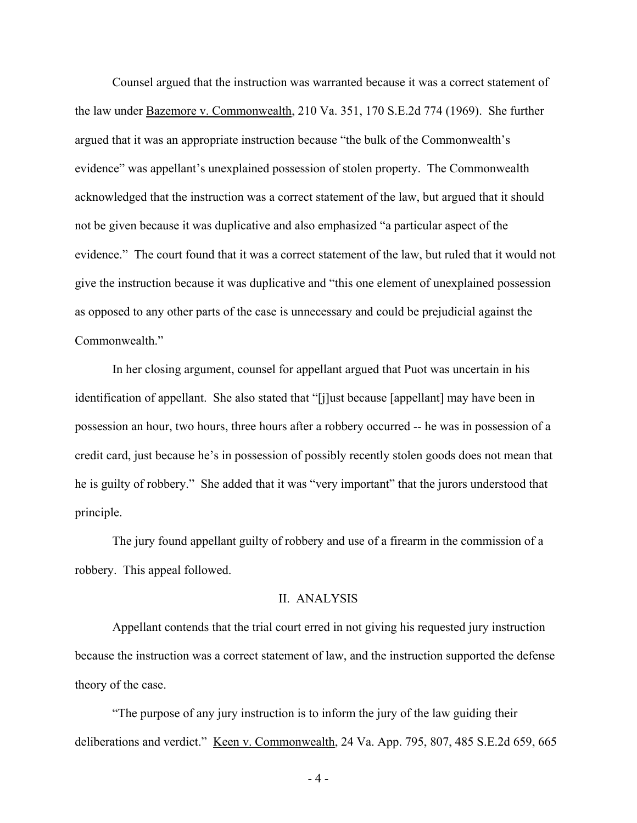Counsel argued that the instruction was warranted because it was a correct statement of the law under Bazemore v. Commonwealth, 210 Va. 351, 170 S.E.2d 774 (1969). She further argued that it was an appropriate instruction because "the bulk of the Commonwealth's evidence" was appellant's unexplained possession of stolen property. The Commonwealth acknowledged that the instruction was a correct statement of the law, but argued that it should not be given because it was duplicative and also emphasized "a particular aspect of the evidence." The court found that it was a correct statement of the law, but ruled that it would not give the instruction because it was duplicative and "this one element of unexplained possession as opposed to any other parts of the case is unnecessary and could be prejudicial against the Commonwealth."

In her closing argument, counsel for appellant argued that Puot was uncertain in his identification of appellant. She also stated that "[j]ust because [appellant] may have been in possession an hour, two hours, three hours after a robbery occurred -- he was in possession of a credit card, just because he's in possession of possibly recently stolen goods does not mean that he is guilty of robbery." She added that it was "very important" that the jurors understood that principle.

The jury found appellant guilty of robbery and use of a firearm in the commission of a robbery. This appeal followed.

#### II. ANALYSIS

 Appellant contends that the trial court erred in not giving his requested jury instruction because the instruction was a correct statement of law, and the instruction supported the defense theory of the case.

 "The purpose of any jury instruction is to inform the jury of the law guiding their deliberations and verdict." Keen v. Commonwealth, 24 Va. App. 795, 807, 485 S.E.2d 659, 665

- 4 -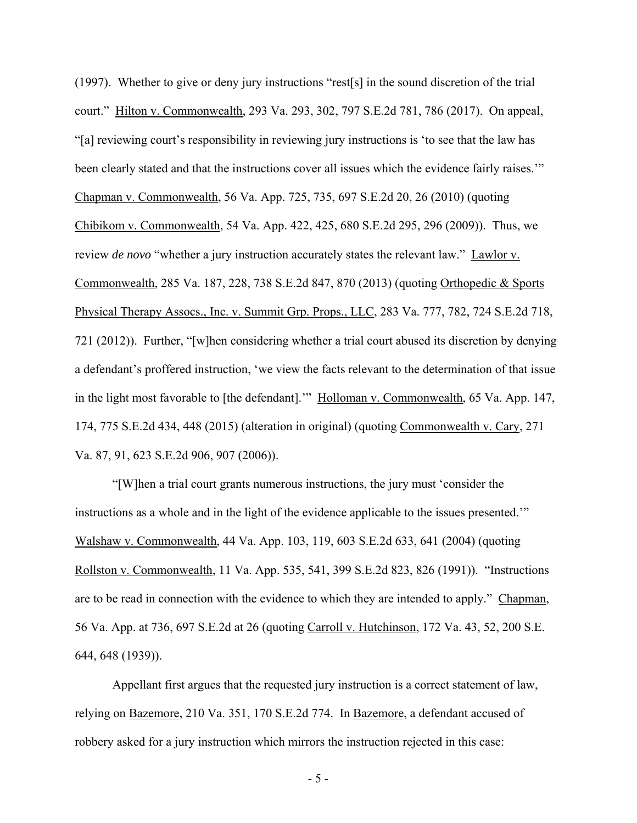(1997). Whether to give or deny jury instructions "rest[s] in the sound discretion of the trial court." Hilton v. Commonwealth, 293 Va. 293, 302, 797 S.E.2d 781, 786 (2017). On appeal, "[a] reviewing court's responsibility in reviewing jury instructions is 'to see that the law has been clearly stated and that the instructions cover all issues which the evidence fairly raises."" Chapman v. Commonwealth, 56 Va. App. 725, 735, 697 S.E.2d 20, 26 (2010) (quoting Chibikom v. Commonwealth, 54 Va. App. 422, 425, 680 S.E.2d 295, 296 (2009)). Thus, we review *de novo* "whether a jury instruction accurately states the relevant law." Lawlor v. Commonwealth, 285 Va. 187, 228, 738 S.E.2d 847, 870 (2013) (quoting Orthopedic & Sports Physical Therapy Assocs., Inc. v. Summit Grp. Props., LLC, 283 Va. 777, 782, 724 S.E.2d 718, 721 (2012)). Further, "[w]hen considering whether a trial court abused its discretion by denying a defendant's proffered instruction, 'we view the facts relevant to the determination of that issue in the light most favorable to [the defendant].'" Holloman v. Commonwealth, 65 Va. App. 147, 174, 775 S.E.2d 434, 448 (2015) (alteration in original) (quoting Commonwealth v. Cary, 271 Va. 87, 91, 623 S.E.2d 906, 907 (2006)).

 "[W]hen a trial court grants numerous instructions, the jury must 'consider the instructions as a whole and in the light of the evidence applicable to the issues presented.'" Walshaw v. Commonwealth, 44 Va. App. 103, 119, 603 S.E.2d 633, 641 (2004) (quoting Rollston v. Commonwealth, 11 Va. App. 535, 541, 399 S.E.2d 823, 826 (1991)). "Instructions are to be read in connection with the evidence to which they are intended to apply." Chapman, 56 Va. App. at 736, 697 S.E.2d at 26 (quoting Carroll v. Hutchinson, 172 Va. 43, 52, 200 S.E. 644, 648 (1939)).

 Appellant first argues that the requested jury instruction is a correct statement of law, relying on Bazemore, 210 Va. 351, 170 S.E.2d 774. In Bazemore, a defendant accused of robbery asked for a jury instruction which mirrors the instruction rejected in this case:

- 5 -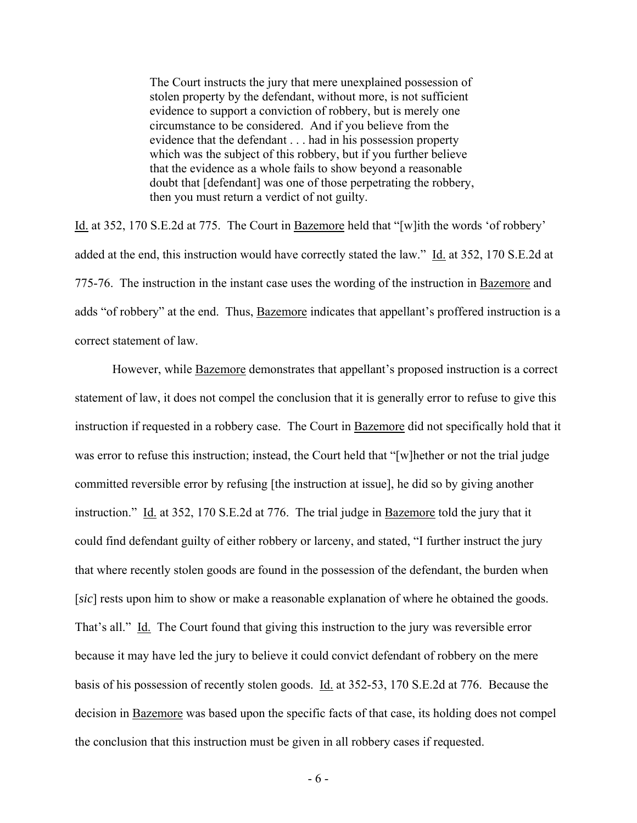The Court instructs the jury that mere unexplained possession of stolen property by the defendant, without more, is not sufficient evidence to support a conviction of robbery, but is merely one circumstance to be considered. And if you believe from the evidence that the defendant . . . had in his possession property which was the subject of this robbery, but if you further believe that the evidence as a whole fails to show beyond a reasonable doubt that [defendant] was one of those perpetrating the robbery, then you must return a verdict of not guilty.

Id. at 352, 170 S.E.2d at 775. The Court in Bazemore held that "[w]ith the words 'of robbery' added at the end, this instruction would have correctly stated the law." Id. at 352, 170 S.E.2d at 775-76. The instruction in the instant case uses the wording of the instruction in Bazemore and adds "of robbery" at the end. Thus, Bazemore indicates that appellant's proffered instruction is a correct statement of law.

However, while **Bazemore** demonstrates that appellant's proposed instruction is a correct statement of law, it does not compel the conclusion that it is generally error to refuse to give this instruction if requested in a robbery case. The Court in Bazemore did not specifically hold that it was error to refuse this instruction; instead, the Court held that "[w]hether or not the trial judge committed reversible error by refusing [the instruction at issue], he did so by giving another instruction." Id. at 352, 170 S.E.2d at 776. The trial judge in Bazemore told the jury that it could find defendant guilty of either robbery or larceny, and stated, "I further instruct the jury that where recently stolen goods are found in the possession of the defendant, the burden when [*sic*] rests upon him to show or make a reasonable explanation of where he obtained the goods. That's all." Id. The Court found that giving this instruction to the jury was reversible error because it may have led the jury to believe it could convict defendant of robbery on the mere basis of his possession of recently stolen goods. Id. at 352-53, 170 S.E.2d at 776. Because the decision in Bazemore was based upon the specific facts of that case, its holding does not compel the conclusion that this instruction must be given in all robbery cases if requested.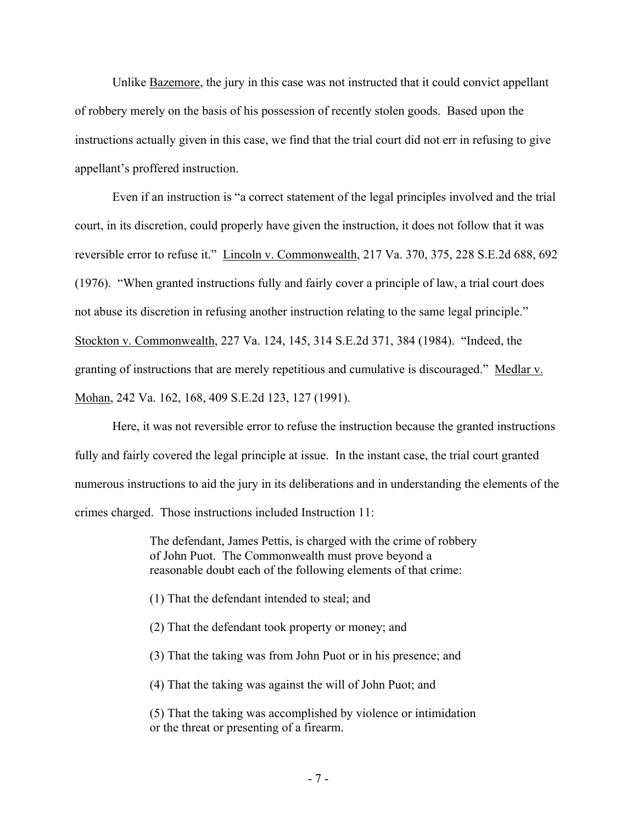Unlike Bazemore, the jury in this case was not instructed that it could convict appellant of robbery merely on the basis of his possession of recently stolen goods. Based upon the instructions actually given in this case, we find that the trial court did not err in refusing to give appellant's proffered instruction.

 Even if an instruction is "a correct statement of the legal principles involved and the trial court, in its discretion, could properly have given the instruction, it does not follow that it was reversible error to refuse it." Lincoln v. Commonwealth, 217 Va. 370, 375, 228 S.E.2d 688, 692 (1976). "When granted instructions fully and fairly cover a principle of law, a trial court does not abuse its discretion in refusing another instruction relating to the same legal principle." Stockton v. Commonwealth, 227 Va. 124, 145, 314 S.E.2d 371, 384 (1984). "Indeed, the granting of instructions that are merely repetitious and cumulative is discouraged." Medlar v. Mohan, 242 Va. 162, 168, 409 S.E.2d 123, 127 (1991).

 Here, it was not reversible error to refuse the instruction because the granted instructions fully and fairly covered the legal principle at issue. In the instant case, the trial court granted numerous instructions to aid the jury in its deliberations and in understanding the elements of the crimes charged. Those instructions included Instruction 11:

> The defendant, James Pettis, is charged with the crime of robbery of John Puot. The Commonwealth must prove beyond a reasonable doubt each of the following elements of that crime:

- (1) That the defendant intended to steal; and
- (2) That the defendant took property or money; and
- (3) That the taking was from John Puot or in his presence; and

(4) That the taking was against the will of John Puot; and

(5) That the taking was accomplished by violence or intimidation or the threat or presenting of a firearm.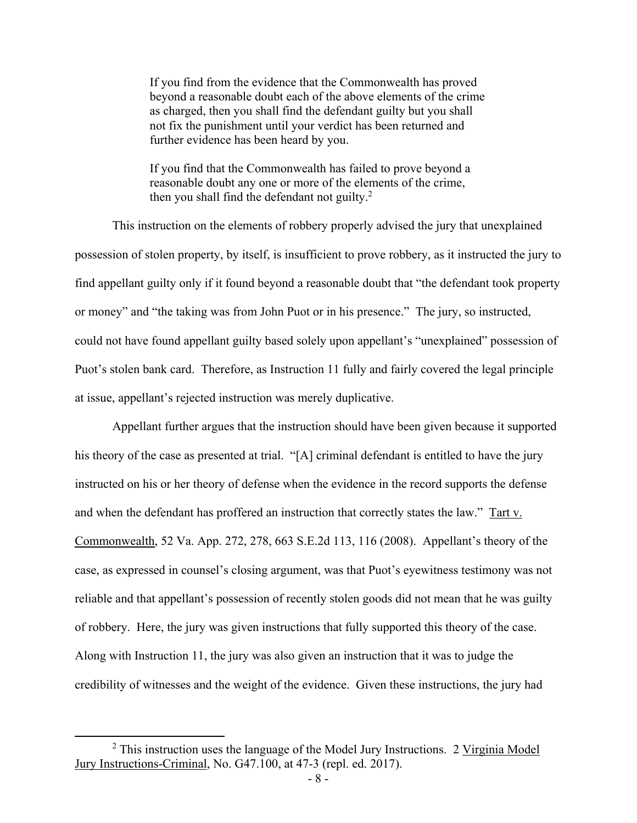If you find from the evidence that the Commonwealth has proved beyond a reasonable doubt each of the above elements of the crime as charged, then you shall find the defendant guilty but you shall not fix the punishment until your verdict has been returned and further evidence has been heard by you.

If you find that the Commonwealth has failed to prove beyond a reasonable doubt any one or more of the elements of the crime, then you shall find the defendant not guilty. $2$ 

 This instruction on the elements of robbery properly advised the jury that unexplained possession of stolen property, by itself, is insufficient to prove robbery, as it instructed the jury to find appellant guilty only if it found beyond a reasonable doubt that "the defendant took property or money" and "the taking was from John Puot or in his presence." The jury, so instructed, could not have found appellant guilty based solely upon appellant's "unexplained" possession of Puot's stolen bank card. Therefore, as Instruction 11 fully and fairly covered the legal principle at issue, appellant's rejected instruction was merely duplicative.

 Appellant further argues that the instruction should have been given because it supported his theory of the case as presented at trial. "[A] criminal defendant is entitled to have the jury instructed on his or her theory of defense when the evidence in the record supports the defense and when the defendant has proffered an instruction that correctly states the law." Tart v. Commonwealth, 52 Va. App. 272, 278, 663 S.E.2d 113, 116 (2008). Appellant's theory of the case, as expressed in counsel's closing argument, was that Puot's eyewitness testimony was not reliable and that appellant's possession of recently stolen goods did not mean that he was guilty of robbery. Here, the jury was given instructions that fully supported this theory of the case. Along with Instruction 11, the jury was also given an instruction that it was to judge the credibility of witnesses and the weight of the evidence. Given these instructions, the jury had

 <sup>2</sup>  $2$  This instruction uses the language of the Model Jury Instructions. 2 Virginia Model Jury Instructions-Criminal, No. G47.100, at 47-3 (repl. ed. 2017).